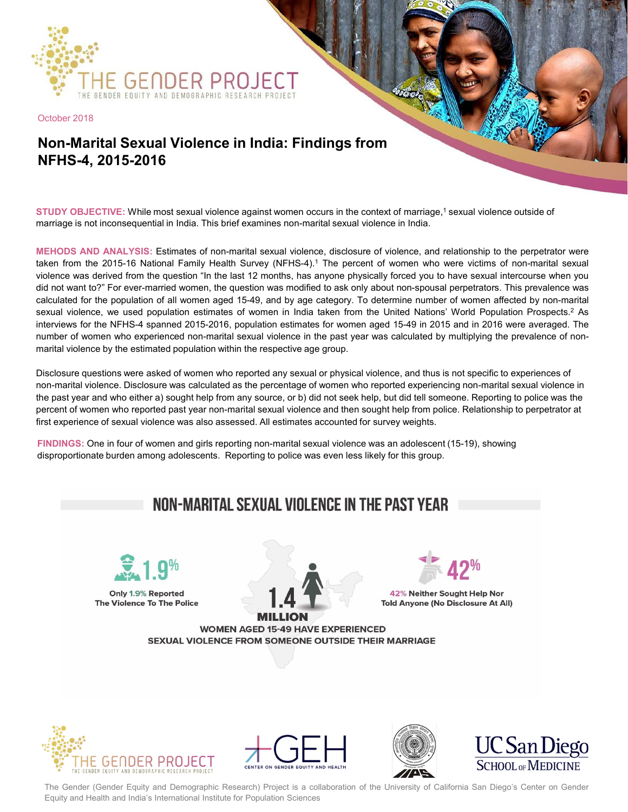

October 2018

## **Non-Marital Sexual Violence in India: Findings from NFHS-4, 2015-2016**

**STUDY OBJECTIVE:** While most sexual violence against women occurs in the context of marriage,<sup>1</sup> sexual violence outside of marriage is not inconsequential in India. This brief examines non-marital sexual violence in India.

**MEHODS AND ANALYSIS:** Estimates of non-marital sexual violence, disclosure of violence, and relationship to the perpetrator were taken from the 2015-16 National Family Health Survey (NFHS-4). <sup>1</sup> The percent of women who were victims of non-marital sexual violence was derived from the question "In the last 12 months, has anyone physically forced you to have sexual intercourse when you did not want to?" For ever-married women, the question was modified to ask only about non-spousal perpetrators. This prevalence was calculated for the population of all women aged 15-49, and by age category. To determine number of women affected by non-marital sexual violence, we used population estimates of women in India taken from the United Nations' World Population Prospects.<sup>2</sup> As interviews for the NFHS-4 spanned 2015-2016, population estimates for women aged 15-49 in 2015 and in 2016 were averaged. The number of women who experienced non-marital sexual violence in the past year was calculated by multiplying the prevalence of nonmarital violence by the estimated population within the respective age group.

Disclosure questions were asked of women who reported any sexual or physical violence, and thus is not specific to experiences of non-marital violence. Disclosure was calculated as the percentage of women who reported experiencing non-marital sexual violence in the past year and who either a) sought help from any source, or b) did not seek help, but did tell someone. Reporting to police was the percent of women who reported past year non-marital sexual violence and then sought help from police. Relationship to perpetrator at first experience of sexual violence was also assessed. All estimates accounted for survey weights.

**FINDINGS:** One in four of women and girls reporting non-marital sexual violence was an adolescent (15-19), showing disproportionate burden among adolescents. Reporting to police was even less likely for this group.

## NON-MARITAL SEXUAL VIOLENCE IN THE PAST YEAR Only 1.9% Reported 42% Neither Sought Help Nor The Violence To The Police Told Anyone (No Disclosure At All) **WOMEN AGED 15-49 HAVE EXPERIENCED** SEXUAL VIOLENCE FROM SOMEONE OUTSIDE THEIR MARRIAGE









The Gender (Gender Equity and Demographic Research) Project is a collaboration of the University of California San Diego's Center on Gender Equity and Health and India's International Institute for Population Sciences